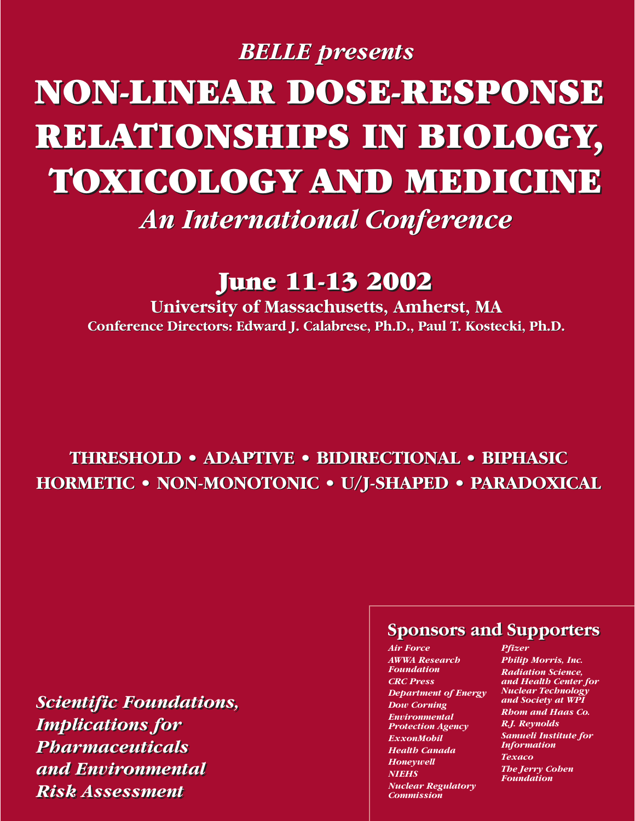# *BELLE presents BELLE presents* **NON-LINEAR DOSE-RESPONSE NON-LINEAR DOSE-RESPONSE RELATIONSHIPS IN BIOLOGY, RELATIONSHIPS IN BIOLOGY, TOXICOLOGY AND MEDICINE TOXICOLOGY AND MEDICINE**

*An International Conference An International Conference*

# **June 11-13 2002 June 11-13 2002**

**University of Massachusetts, Amherst, MA University of Massachusetts, Amherst, MA Conference Directors: Edward J. Calabrese, Ph.D., Paul T. Kostecki, Ph.D. Conference Directors: Edward J. Calabrese, Ph.D., Paul T. Kostecki, Ph.D.**

# **THRESHOLD • ADAPTIVE • BIDIRECTIONAL • BIPHASIC THRESHOLD • ADAPTIVE • BIDIRECTIONAL • BIPHASIC HORMETIC • NON-MONOTONIC • U/J-SHAPED • PARADOXICAL HORMETIC • NON-MONOTONIC • U/J-SHAPED • PARADOXICAL**

*Scientific Foundations, Scientific Foundations, Implications for Implications for Pharmaceuticals Pharmaceuticals and Environmental and Environmental Risk Assessment Risk Assessment*

### **Sponsors and Supporters Sponsors and Supporters**

*Air Force AWWA Research Foundation CRC Press Department of Energy Dow Corning Environmental Protection Agency ExxonMobil Health Canada Honeywell NIEHS Nuclear Regulatory Commission*

*Pfizer Philip Morris, Inc. Radiation Science, and Health Center for Nuclear Technology and Society at WPI Rhom and Haas Co. R.J. Reynolds*

*Samueli Institute for Information Texaco The Jerry Cohen Foundation*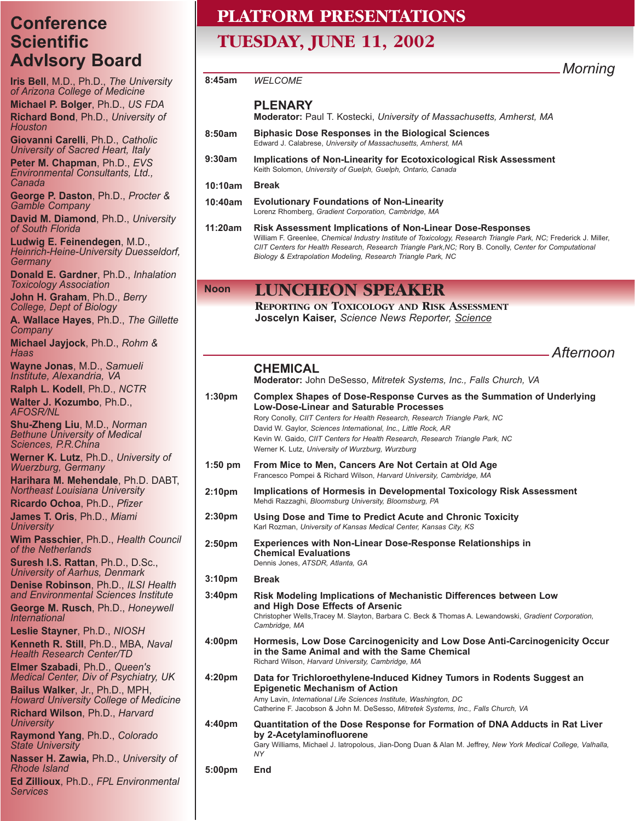### **Conference Scientific AdvIsory Board**

**Iris Bell**, M.D., Ph.D., *The University of Arizona College of Medicine* **Michael P. Bolger**, Ph.D., *US FDA*

**Richard Bond**, Ph.D., *University of Houston*

**Giovanni Carelli**, Ph.D., *Catholic University of Sacred Heart, Italy* **Peter M. Chapman**, Ph.D., *EVS Environmental Consultants, Ltd., Canada*

**George P. Daston**, Ph.D., *Procter & Gamble Company* 

**David M. Diamond**, Ph.D., *University of South Florida*

**Ludwig E. Feinendegen**, M.D., *Heinrich-Heine-University Duesseldorf, Germany*

**Donald E. Gardner**, Ph.D., *Inhalation Toxicology Association*

**John H. Graham**, Ph.D., *Berry College, Dept of Biology*

**A. Wallace Hayes**, Ph.D., *The Gillette Company*

**Michael Jayjock**, Ph.D., *Rohm & Haas*

**Wayne Jonas**, M.D., *Samueli Institute, Alexandria, VA*

**Ralph L. Kodell**, Ph.D., *NCTR* **Walter J. Kozumbo**, Ph.D., *AFOSR/NL*

**Shu-Zheng Liu**, M.D., *Norman Bethune University of Medical Sciences, P.R.China*

**Werner K. Lutz**, Ph.D., *University of Wuerzburg, Germany*

**Harihara M. Mehendale**, Ph.D. DABT, *Northeast Louisiana University*

**Ricardo Ochoa**, Ph.D., *Pfizer* **James T. Oris**, Ph.D., *Miami*

*University* **Wim Passchier**, Ph.D., *Health Council of the Netherlands*

**Suresh I.S. Rattan**, Ph.D., D.Sc., *University of Aarhus, Denmark* **Denise Robinson**, Ph.D., *ILSI Health*

*and Environmental Sciences Institute* **George M. Rusch**, Ph.D., *Honeywell International*

**Leslie Stayner**, Ph.D., *NIOSH*

**Kenneth R. Still**, Ph.D., MBA, *Naval Health Research Center/TD*

**Elmer Szabadi**, Ph.D., *Queen's Medical Center, Div of Psychiatry, UK* **Bailus Walker**, Jr., Ph.D., MPH,

*Howard University College of Medicine* **Richard Wilson**, Ph.D., *Harvard University*

**Raymond Yang**, Ph.D., *Colorado State University*

**Nasser H. Zawia,** Ph.D., *University of Rhode Island*

**Ed Zillioux**, Ph.D., *FPL Environmental Services*

# **PLATFORM PRESENTATIONS**

# **TUESDAY, JUNE 11, 2002**

*Morning*

### *WELCOME* **PLENARY**

**Moderator:** Paul T. Kostecki, *University of Massachusetts, Amherst, MA*

- **Biphasic Dose Responses in the Biological Sciences** Edward J. Calabrese, *University of Massachusetts, Amherst, MA* **8:50am**
- **Implications of Non-Linearity for Ecotoxicological Risk Assessment** Keith Solomon, *University of Guelph, Guelph, Ontario, Canada* **9:30am**
- **Break 10:10am**

**8:45am**

- **Evolutionary Foundations of Non-Linearity** Lorenz Rhomberg, *Gradient Corporation, Cambridge, MA* **10:40am**
- **Risk Assessment Implications of Non-Linear Dose-Responses** William F. Greenlee, *Chemical Industry Institute of Toxicology, Research Triangle Park, NC;* Frederick J. Miller, *CIIT Centers for Health Research, Research Triangle Park,NC;* Rory B. Conolly, *Center for Computational Biology & Extrapolation Modeling, Research Triangle Park, NC* **11:20am**

#### **Noon LUNCHEON SPEAKER**

**REPORTING ON TOXICOLOGY AND RISK ASSESSMENT Joscelyn Kaiser,** *Science News Reporter, Science*

*Afternoon*

### **CHEMICAL**

**Moderator:** John DeSesso, *Mitretek Systems, Inc., Falls Church, VA*

#### **Complex Shapes of Dose-Response Curves as the Summation of Underlying Low-Dose-Linear and Saturable Processes** Rory Conolly, *CIIT Centers for Health Research, Research Triangle Park, NC* David W. Gaylor, *Sciences International, Inc., Little Rock, AR* Kevin W. Gaido, *CIIT Centers for Health Research, Research Triangle Park, NC* Werner K. Lutz, *University of Wurzburg, Wurzburg* **1:30pm**

- **From Mice to Men, Cancers Are Not Certain at Old Age**  Francesco Pompei & Richard Wilson, *Harvard University, Cambridge, MA* **1:50 pm**
- **Implications of Hormesis in Developmental Toxicology Risk Assessment** Mehdi Razzaghi, *Bloomsburg University, Bloomsburg, PA* **2:10pm**
- **Using Dose and Time to Predict Acute and Chronic Toxicity**  Karl Rozman, *University of Kansas Medical Center, Kansas City, KS* **2:30pm**
- **Experiences with Non-Linear Dose-Response Relationships in Chemical Evaluations** Dennis Jones, *ATSDR, Atlanta, GA* **2:50pm**

**Break 3:10pm**

#### **Risk Modeling Implications of Mechanistic Differences between Low and High Dose Effects of Arsenic** Christopher Wells,Tracey M. Slayton, Barbara C. Beck & Thomas A. Lewandowski, *Gradient Corporation, Cambridge, MA* **3:40pm**

- **Hormesis, Low Dose Carcinogenicity and Low Dose Anti-Carcinogenicity Occur in the Same Animal and with the Same Chemical** Richard Wilson, *Harvard University, Cambridge, MA* **4:00pm**
- **Data for Trichloroethylene-Induced Kidney Tumors in Rodents Suggest an Epigenetic Mechanism of Action**  Amy Lavin, *International Life Sciences Institute, Washington, DC* **4:20pm**

Catherine F. Jacobson & John M. DeSesso, *Mitretek Systems, Inc., Falls Church, VA*

**Quantitation of the Dose Response for Formation of DNA Adducts in Rat Liver by 2-Acetylaminofluorene** Gary Williams, Michael J. Iatropolous, Jian-Dong Duan & Alan M. Jeffrey, *New York Medical College, Valhalla, NY* **4:40pm**

**End 5:00pm**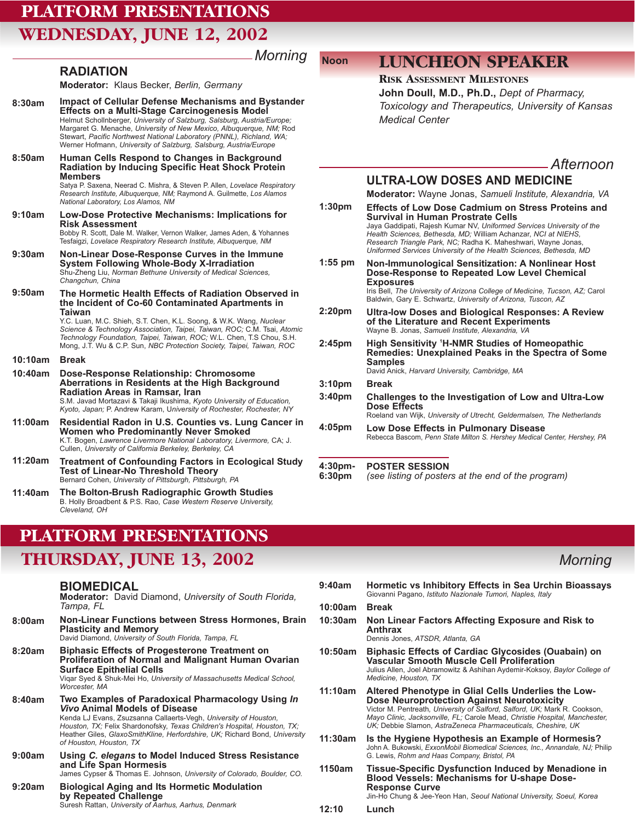# **PLATFORM PRESENTATIONS WEDNESDAY, JUNE 12, 2002**

**RADIATION**

**Moderator:** Klaus Becker, *Berlin, Germany* **Impact of Cellular Defense Mechanisms and Bystander Effects on a Multi-Stage Carcinogenesis Model** Helmut Schollnberger, *University of Salzburg, Salsburg, Austria/Europe;* Margaret G. Menache, *University of New Mexico, Albuquerque, NM;* Rod Stewart, *Pacific Northwest National Laboratory (PNNL), Richland, WA;* Werner Hofmann, *University of Salzburg, Salsburg, Austria/Europe* **Human Cells Respond to Changes in Background Radiation by Inducing Specific Heat Shock Protein Members** Satya P. Saxena, Neerad C. Mishra, & Steven P. Allen, *Lovelace Respiratory Research Institute, Albuquerque, NM;* Raymond A. Guilmette, *Los Alamos National Laboratory, Los Alamos, NM* **Low-Dose Protective Mechanisms: Implications for Risk Assessment** Bobby R. Scott, Dale M. Walker, Vernon Walker, James Aden, & Yohannes Tesfaigzi, *Lovelace Respiratory Research Institute, Albuquerque, NM* **Non-Linear Dose-Response Curves in the Immune System Following Whole-Body X-Irradiation**  Shu-Zheng Liu, *Norman Bethune University of Medical Sciences, Changchun, China* **The Hormetic Health Effects of Radiation Observed in the Incident of Co-60 Contaminated Apartments in Taiwan** Y.C. Luan, M.C. Shieh, S.T. Chen, K.L. Soong, & W.K. Wang, *Nuclear Science & Technology Association, Taipei, Taiwan, ROC;* C.M. Tsai, *Atomic Technology Foundation, Taipei, Taiwan, ROC;* W.L. Chen, T.S Chou, S.H. Mong, J.T. Wu & C.P. Sun, *NBC Protection Society, Taipei, Taiwan, ROC* **Break 10:10am Dose-Response Relationship: Chromosome Aberrations in Residents at the High Background Radiation Areas in Ramsar, Iran** S.M. Javad Mortazavi & Takaji Ikushima, *Kyoto University of Education, Kyoto, Japan;* P. Andrew Karam, U*niversity of Rochester, Rochester, NY* **Survival in Human Prostrate Cells Exposures Samples** David Anick, *Harvard University, Cambridge, MA* **Break Dose Effects 8:30am 8:50am 9:10am 9:30am 9:50am 10:40am 1:30pm 1:55 pm 2:20pm 2:45pm 3:10pm 3:40pm** *Medical Center*

*Morning*

**Residential Radon in U.S. Counties vs. Lung Cancer in Women who Predominantly Never Smoked**  K.T. Bogen, *Lawrence Livermore National Laboratory, Livermore,* CA; J. Cullen, *University of California Berkeley, Berkeley, CA* **11:00am**

- **Treatment of Confounding Factors in Ecological Study Test of Linear-No Threshold Theory** Bernard Cohen, *University of Pittsburgh, Pittsburgh, PA* **11:20am**
- **The Bolton-Brush Radiographic Growth Studies** B. Holly Broadbent & P.S. Rao, *Case Western Reserve University, Cleveland, OH* **11:40am**

# **PLATFORM PRESENTATIONS**

# **THURSDAY, JUNE 13, 2002** *Morning*

### **BIOMEDICAL**

**Moderator:** David Diamond, *University of South Florida, Tampa, FL*

**Non-Linear Functions between Stress Hormones, Brain Plasticity and Memory 8:00am**

David Diamond, *University of South Florida, Tampa, FL*

- **Biphasic Effects of Progesterone Treatment on Proliferation of Normal and Malignant Human Ovarian Surface Epithelial Cells** Viqar Syed & Shuk-Mei Ho, *University of Massachusetts Medical School, Worcester, MA* **8:20am**
- **Two Examples of Paradoxical Pharmacology Using** *In Vivo* **Animal Models of Disease** Kenda LJ Evans, Zsuzsanna Callaerts-Vegh, *University of Houston, Houston, TX;* Felix Shardonofsky, *Texas Children's Hospital, Houston, TX;* Heather Giles, *GlaxoSmithKline, Herfordshire, UK;* Richard Bond, *University of Houston, Houston, TX* **8:40am**
- **Using** *C. elegans* **to Model Induced Stress Resistance and Life Span Hormesis**  James Cypser & Thomas E. Johnson, *University of Colorado, Boulder, CO.* **9:00am**
- **Biological Aging and Its Hormetic Modulation by Repeated Challenge** Suresh Rattan, *University of Aarhus, Aarhus, Denmark* **9:20am**

# **Noon LUNCHEON SPEAKER**

### **RISK ASSESSMENT MILESTONES**

**John Doull, M.D., Ph.D.,** *Dept of Pharmacy, Toxicology and Therapeutics, University of Kansas*

### *Afternoon*

### **ULTRA-LOW DOSES AND MEDICINE**

**Moderator:** Wayne Jonas, *Samueli Institute, Alexandria, VA*

- **Effects of Low Dose Cadmium on Stress Proteins and** Jaya Gaddipati, Rajesh Kumar NV, *Uniformed Services University of the Health Sciences, Bethesda, MD;* William Achanzar, *NCI at NIEHS, Research Triangle Park, NC;* Radha K. Maheshwari, Wayne Jonas, *Uniformed Services University of the Health Sciences, Bethesda, MD* **Non-Immunological Sensitization: A Nonlinear Host Dose-Response to Repeated Low Level Chemical** Iris Bell, *The University of Arizona College of Medicine, Tucson, AZ;* Carol Baldwin, Gary E. Schwartz, *University of Arizona, Tuscon, AZ* **Ultra-low Doses and Biological Responses: A Review of the Literature and Recent Experiments** Wayne B. Jonas, *Samueli Institute, Alexandria, VA* **High Sensitivity 1 H-NMR Studies of Homeopathic**
	- **Remedies: Unexplained Peaks in the Spectra of Some**
	- **Challenges to the Investigation of Low and Ultra-Low**
	- Roeland van Wijk, *University of Utrecht, Geldermalsen, The Netherlands* **Low Dose Effects in Pulmonary Disease 4:05pm**
	- Rebecca Bascom, *Penn State Milton S. Hershey Medical Center, Hershey, PA*

#### **POSTER SESSION 4:30pm-**

*(see listing of posters at the end of the program)* **6:30pm**

- **Hormetic vs Inhibitory Effects in Sea Urchin Bioassays**  Giovanni Pagano, *Istituto Nazionale Tumori, Naples, Italy* **Break Non Linear Factors Affecting Exposure and Risk to Anthrax** Dennis Jones, *ATSDR, Atlanta, GA* **Biphasic Effects of Cardiac Glycosides (Ouabain) on Vascular Smooth Muscle Cell Proliferation**  Julius Allen, Joel Abramowitz & Ashihan Aydemir-Koksoy, *Baylor College of Medicine, Houston, TX* **Altered Phenotype in Glial Cells Underlies the Low-Dose Neuroprotection Against Neurotoxicity**  Victor M. Pentreath*, University of Salford, Salford, UK;* Mark R. Cookson, *Mayo Clinic, Jacksonville, FL;* Carole Mead, *Christie Hospital, Manchester, UK;* Debbie Slamon, *AstraZeneca Pharmaceuticals, Cheshire, UK* **Is the Hygiene Hypothesis an Example of Hormesis?** John A. Bukowski, *ExxonMobil Biomedical Sciences, Inc., Annandale, NJ;* Philip G. Lewis, *Rohm and Haas Company, Bristol, PA* **Tissue-Specific Dysfunction Induced by Menadione in Blood Vessels: Mechanisms for U-shape Dose-9:40am 10:00am 10:30am 10:50am 11:10am 11:30am 1150am**
	- **Response Curve** Jin-Ho Chung & Jee-Yeon Han, *Seoul National University, Soeul, Korea*
- **Lunch 12:10**